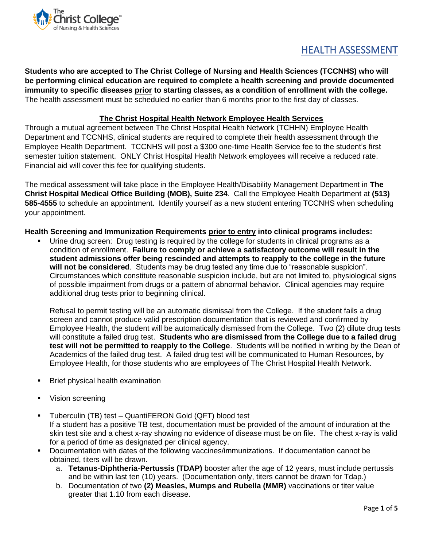

# HEALTH ASSESSMENT

**Students who are accepted to The Christ College of Nursing and Health Sciences (TCCNHS) who will be performing clinical education are required to complete a health screening and provide documented immunity to specific diseases prior to starting classes, as a condition of enrollment with the college.** The health assessment must be scheduled no earlier than 6 months prior to the first day of classes.

#### **The Christ Hospital Health Network Employee Health Services**

Through a mutual agreement between The Christ Hospital Health Network (TCHHN) Employee Health Department and TCCNHS, clinical students are required to complete their health assessment through the Employee Health Department. TCCNHS will post a \$300 one-time Health Service fee to the student's first semester tuition statement. ONLY Christ Hospital Health Network employees will receive a reduced rate. Financial aid will cover this fee for qualifying students.

The medical assessment will take place in the Employee Health/Disability Management Department in **The Christ Hospital Medical Office Building (MOB), Suite 234**. Call the Employee Health Department at **(513) 585-4555** to schedule an appointment. Identify yourself as a new student entering TCCNHS when scheduling your appointment.

#### **Health Screening and Immunization Requirements prior to entry into clinical programs includes:**

Urine drug screen: Drug testing is required by the college for students in clinical programs as a condition of enrollment. **Failure to comply or achieve a satisfactory outcome will result in the student admissions offer being rescinded and attempts to reapply to the college in the future will not be considered**. Students may be drug tested any time due to "reasonable suspicion". Circumstances which constitute reasonable suspicion include, but are not limited to, physiological signs of possible impairment from drugs or a pattern of abnormal behavior. Clinical agencies may require additional drug tests prior to beginning clinical.

Refusal to permit testing will be an automatic dismissal from the College. If the student fails a drug screen and cannot produce valid prescription documentation that is reviewed and confirmed by Employee Health, the student will be automatically dismissed from the College. Two (2) dilute drug tests will constitute a failed drug test. **Students who are dismissed from the College due to a failed drug test will not be permitted to reapply to the College**. Students will be notified in writing by the Dean of Academics of the failed drug test. A failed drug test will be communicated to Human Resources, by Employee Health, for those students who are employees of The Christ Hospital Health Network.

- **EXECT:** Brief physical health examination
- Vision screening
- Tuberculin (TB) test QuantiFERON Gold (QFT) blood test If a student has a positive TB test, documentation must be provided of the amount of induration at the skin test site and a chest x-ray showing no evidence of disease must be on file. The chest x-ray is valid for a period of time as designated per clinical agency.
- Documentation with dates of the following vaccines/immunizations. If documentation cannot be obtained, titers will be drawn.
	- a. **Tetanus-Diphtheria-Pertussis (TDAP)** booster after the age of 12 years, must include pertussis and be within last ten (10) years. (Documentation only, titers cannot be drawn for Tdap.)
	- b. Documentation of two **(2) Measles, Mumps and Rubella (MMR)** vaccinations or titer value greater that 1.10 from each disease.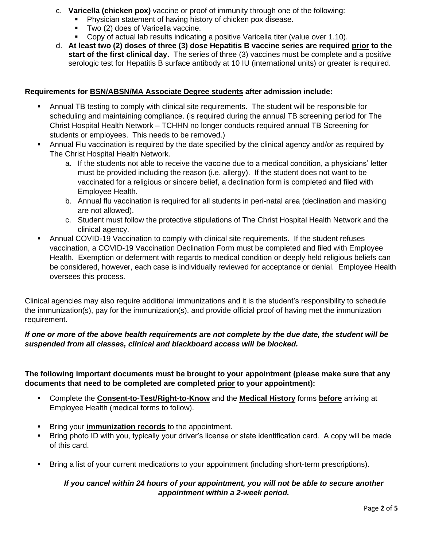- c. **Varicella (chicken pox)** vaccine or proof of immunity through one of the following:
	- Physician statement of having history of chicken pox disease.
	- Two (2) does of Varicella vaccine.
	- Copy of actual lab results indicating a positive Varicella titer (value over 1.10).
- d. **At least two (2) doses of three (3) dose Hepatitis B vaccine series are required prior to the start of the first clinical day.** The series of three (3) vaccines must be complete and a positive serologic test for Hepatitis B surface antibody at 10 IU (international units) or greater is required.

## **Requirements for BSN/ABSN/MA Associate Degree students after admission include:**

- Annual TB testing to comply with clinical site requirements. The student will be responsible for scheduling and maintaining compliance. (is required during the annual TB screening period for The Christ Hospital Health Network – TCHHN no longer conducts required annual TB Screening for students or employees. This needs to be removed.)
- Annual Flu vaccination is required by the date specified by the clinical agency and/or as required by The Christ Hospital Health Network.
	- a. If the students not able to receive the vaccine due to a medical condition, a physicians' letter must be provided including the reason (i.e. allergy). If the student does not want to be vaccinated for a religious or sincere belief, a declination form is completed and filed with Employee Health.
	- b. Annual flu vaccination is required for all students in peri-natal area (declination and masking are not allowed).
	- c. Student must follow the protective stipulations of The Christ Hospital Health Network and the clinical agency.
- Annual COVID-19 Vaccination to comply with clinical site requirements. If the student refuses vaccination, a COVID-19 Vaccination Declination Form must be completed and filed with Employee Health. Exemption or deferment with regards to medical condition or deeply held religious beliefs can be considered, however, each case is individually reviewed for acceptance or denial. Employee Health oversees this process.

Clinical agencies may also require additional immunizations and it is the student's responsibility to schedule the immunization(s), pay for the immunization(s), and provide official proof of having met the immunization requirement.

## *If one or more of the above health requirements are not complete by the due date, the student will be suspended from all classes, clinical and blackboard access will be blocked.*

## **The following important documents must be brought to your appointment (please make sure that any documents that need to be completed are completed prior to your appointment):**

- Complete the **Consent-to-Test/Right-to-Know** and the **Medical History** forms **before** arriving at Employee Health (medical forms to follow).
- Bring your **immunization records** to the appointment.
- Bring photo ID with you, typically your driver's license or state identification card. A copy will be made of this card.
- Bring a list of your current medications to your appointment (including short-term prescriptions).

## *If you cancel within 24 hours of your appointment, you will not be able to secure another appointment within a 2-week period.*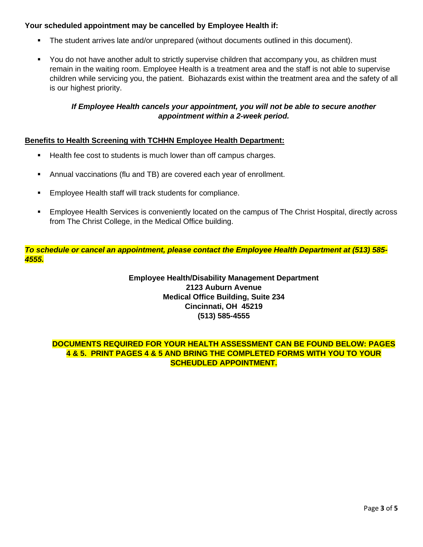### **Your scheduled appointment may be cancelled by Employee Health if:**

- The student arrives late and/or unprepared (without documents outlined in this document).
- You do not have another adult to strictly supervise children that accompany you, as children must remain in the waiting room. Employee Health is a treatment area and the staff is not able to supervise children while servicing you, the patient. Biohazards exist within the treatment area and the safety of all is our highest priority.

#### *If Employee Health cancels your appointment, you will not be able to secure another appointment within a 2-week period.*

#### **Benefits to Health Screening with TCHHN Employee Health Department:**

- Health fee cost to students is much lower than off campus charges.
- Annual vaccinations (flu and TB) are covered each year of enrollment.
- Employee Health staff will track students for compliance.
- Employee Health Services is conveniently located on the campus of The Christ Hospital, directly across from The Christ College, in the Medical Office building.

*To schedule or cancel an appointment, please contact the Employee Health Department at (513) 585- 4555.*

> **Employee Health/Disability Management Department 2123 Auburn Avenue Medical Office Building, Suite 234 Cincinnati, OH 45219 (513) 585-4555**

## **DOCUMENTS REQUIRED FOR YOUR HEALTH ASSESSMENT CAN BE FOUND BELOW: PAGES 4 & 5. PRINT PAGES 4 & 5 AND BRING THE COMPLETED FORMS WITH YOU TO YOUR SCHEUDLED APPOINTMENT.**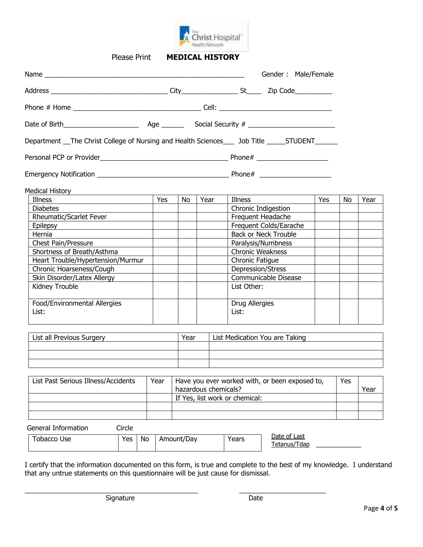

**Please Print MEDICAL HISTORY** 

|                                                                                                   |     |           |      |  |                 | Gender: Male/Female            |     |           |      |
|---------------------------------------------------------------------------------------------------|-----|-----------|------|--|-----------------|--------------------------------|-----|-----------|------|
|                                                                                                   |     |           |      |  |                 |                                |     |           |      |
|                                                                                                   |     |           |      |  |                 |                                |     |           |      |
|                                                                                                   |     |           |      |  |                 |                                |     |           |      |
| Department __The Christ College of Nursing and Health Sciences____ Job Title ______STUDENT_______ |     |           |      |  |                 |                                |     |           |      |
|                                                                                                   |     |           |      |  |                 |                                |     |           |      |
|                                                                                                   |     |           |      |  |                 |                                |     |           |      |
| Medical History <b>Medical History</b> Medical Assembly                                           |     |           |      |  |                 |                                |     |           |      |
| Illness                                                                                           | Yes | <b>No</b> | Year |  | Illness         |                                | Yes | <b>No</b> | Year |
| <b>Diabetes</b>                                                                                   |     |           |      |  |                 | Chronic Indigestion            |     |           |      |
| Rheumatic/Scarlet Fever                                                                           |     |           |      |  |                 | Frequent Headache              |     |           |      |
|                                                                                                   |     |           |      |  |                 | Frequent Colds/Earache         |     |           |      |
| Hernia                                                                                            |     |           |      |  |                 | <b>Back or Neck Trouble</b>    |     |           |      |
| <b>Chest Pain/Pressure</b>                                                                        |     |           |      |  |                 | Paralysis/Numbness             |     |           |      |
| Shortness of Breath/Asthma                                                                        |     |           |      |  |                 | <b>Chronic Weakness</b>        |     |           |      |
| Heart Trouble/Hypertension/Murmur                                                                 |     |           |      |  | Chronic Fatigue |                                |     |           |      |
| Chronic Hoarseness/Cough                                                                          |     |           |      |  |                 | Depression/Stress              |     |           |      |
| Skin Disorder/Latex Allergy                                                                       |     |           |      |  |                 | Communicable Disease           |     |           |      |
| Kidney Trouble                                                                                    |     |           |      |  | List Other:     |                                |     |           |      |
| Food/Environmental Allergies                                                                      |     |           |      |  | Drug Allergies  |                                |     |           |      |
| List:                                                                                             |     |           |      |  | List:           |                                |     |           |      |
|                                                                                                   |     | Year      |      |  |                 |                                |     |           |      |
| List all Previous Surgery                                                                         |     |           |      |  |                 | List Medication You are Taking |     |           |      |

| List all Previous Surgery | Year | List Medication You are Taking |
|---------------------------|------|--------------------------------|
|                           |      |                                |
|                           |      |                                |
|                           |      |                                |

| List Past Serious Illness/Accidents | Year | Have you ever worked with, or been exposed to, | Yes |      |
|-------------------------------------|------|------------------------------------------------|-----|------|
|                                     |      | hazardous chemicals?                           |     | Year |
|                                     |      | If Yes, list work or chemical:                 |     |      |
|                                     |      |                                                |     |      |
|                                     |      |                                                |     |      |

| General Information |  |
|---------------------|--|
|---------------------|--|

| obacco Use | Yes | No | Amount/Day | Years | Date of Last<br>Tdar<br>etanus/ |
|------------|-----|----|------------|-------|---------------------------------|
|            |     |    |            |       |                                 |

\_\_\_\_\_\_\_\_\_\_\_\_\_\_\_\_\_\_\_\_\_\_\_\_\_\_\_\_\_\_\_\_\_\_\_\_\_\_\_\_\_\_\_\_\_\_ \_\_\_\_\_\_\_\_\_\_\_\_\_\_\_\_\_\_\_\_\_\_\_

I certify that the information documented on this form, is true and complete to the best of my knowledge. I understand that any untrue statements on this questionnaire will be just cause for dismissal.

Circle